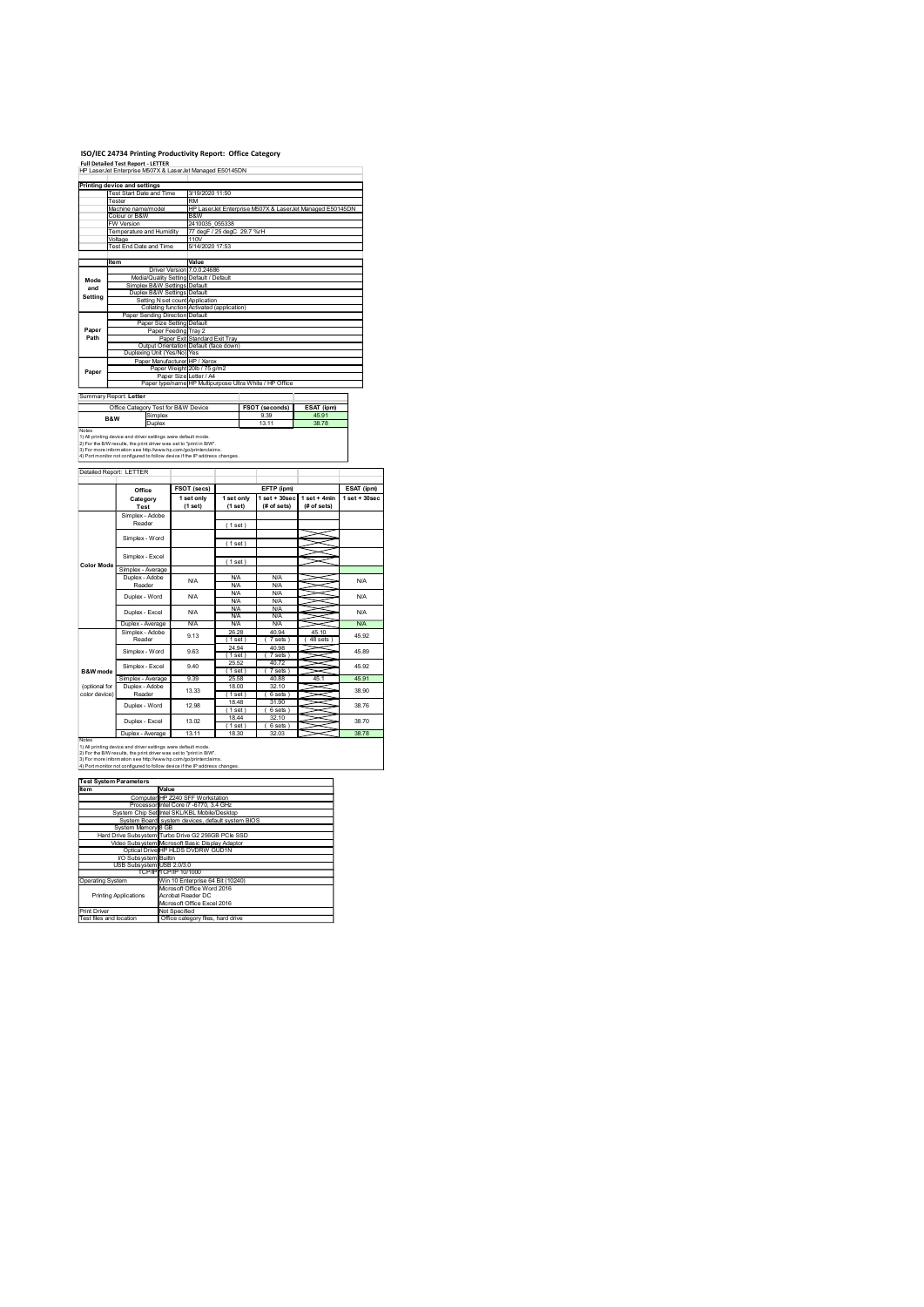|                           | ISO/IEC 24734 Printing Productivity Report: Office Category<br><b>Full Detailed Test Report - LETTER</b><br>HP LaserJet Enterprise M507X & LaserJet Managed E50145DN                                    |                                                                                                                  |                                        |                                                 |                                                          |                 |
|---------------------------|---------------------------------------------------------------------------------------------------------------------------------------------------------------------------------------------------------|------------------------------------------------------------------------------------------------------------------|----------------------------------------|-------------------------------------------------|----------------------------------------------------------|-----------------|
|                           | Printing device and settings                                                                                                                                                                            |                                                                                                                  |                                        |                                                 |                                                          |                 |
|                           | <b>Test Start Date and Time</b><br>Tester<br>Machine name/model                                                                                                                                         | 3/19/2020 11:50<br>RM                                                                                            |                                        |                                                 | HP LaserJet Enterprise M507X & LaserJet Managed E50145DN |                 |
|                           | Colour or B&W<br>W Version<br>Temperature and Humidity                                                                                                                                                  | B&W<br>2410035 055338                                                                                            | 77 degF / 25 degC 29.7 %rH             |                                                 |                                                          |                 |
|                           | Voltage<br>Fest End Date and Time                                                                                                                                                                       | 110V<br>5/14/2020 17:53                                                                                          |                                        |                                                 |                                                          |                 |
|                           | Item                                                                                                                                                                                                    | Value<br>Driver Version 7.0.0.24686<br>Media/Quality Setting Default / Default                                   |                                        |                                                 |                                                          |                 |
| Mode<br>and<br>Setting    | Simplex B&W Settings Default<br>Duplex B&W Settings Default                                                                                                                                             |                                                                                                                  |                                        |                                                 |                                                          |                 |
|                           | Paper Sending Direction Default                                                                                                                                                                         | Setting N set count Application<br>Collating function Activated (application)                                    |                                        |                                                 |                                                          |                 |
| Paper<br>Path             |                                                                                                                                                                                                         | Paper Size Setting Default<br>Paper Feeding Tray 2<br>Paper Exit Standard Exit Tray                              |                                        |                                                 |                                                          |                 |
|                           | Duplexing Unit (Yes/No) Yes                                                                                                                                                                             | Output Orientation Default (face down)<br>Paper Manufacturer HP / Xerox                                          |                                        |                                                 |                                                          |                 |
| Paper                     |                                                                                                                                                                                                         | Paper Weight 20lb / 75 g/m2<br>Paper Size Letter / A4<br>Paper type/name HP Multipurpose Ultra White / HP Office |                                        |                                                 |                                                          |                 |
|                           | Summary Report: Letter<br>Office Category Test for B&W Device                                                                                                                                           |                                                                                                                  |                                        |                                                 |                                                          |                 |
|                           | Simplex<br>B&W<br>Duplex                                                                                                                                                                                |                                                                                                                  |                                        | FSOT (seconds)<br>9.39<br>13.11                 | ESAT (ipm)<br>45.91<br>38.78                             |                 |
| Notes                     | 1) All printing device and driver settings were default mode.<br>2) For the B/W results, the print driver was set to "print in B/W".<br>3) For more information see http://www.hp.com/go/printerclaims. |                                                                                                                  |                                        |                                                 |                                                          |                 |
|                           | 4) Port monitor not configured to follow device if the IP address changes.<br>Detailed Report: LETTER                                                                                                   |                                                                                                                  |                                        |                                                 |                                                          |                 |
|                           | Office                                                                                                                                                                                                  | FSOT (secs)                                                                                                      | 1 set only                             | EFTP (ipm)                                      |                                                          | ESAT (ipm)      |
|                           | Category<br>Test<br>Simplex - Adobe                                                                                                                                                                     | 1 set only<br>(1 set)                                                                                            | (1 set)                                | $1 set + 30 sec$ $1 set + 4 min$<br>(# of sets) | (# of sets)                                              | $1$ set + 30sec |
|                           | Reader<br>Simplex - Word                                                                                                                                                                                |                                                                                                                  | (1 set)                                |                                                 |                                                          |                 |
|                           | Simplex - Excel                                                                                                                                                                                         |                                                                                                                  | (1 set)<br>(1 set)                     |                                                 |                                                          |                 |
| <b>Color Mode</b>         | Simplex - Average<br>Duplex - Adobe                                                                                                                                                                     | <b>N/A</b>                                                                                                       | <b>N/A</b>                             | <b>N/A</b><br><b>N/A</b>                        |                                                          | N/A             |
|                           | Reader<br>Duplex - Word                                                                                                                                                                                 | <b>N/A</b>                                                                                                       | <b>N/A</b><br><b>N/A</b><br><b>N/A</b> | N/A<br><b>N/A</b>                               |                                                          | N/A             |
|                           | Duplex - Excel<br>Duplex - Average                                                                                                                                                                      | <b>N/A</b><br>N/A                                                                                                | <b>N/A</b><br><b>N/A</b><br>N/A        | <b>N/A</b><br>N/A<br>N/A                        | ~                                                        | N/A<br>N/A      |
|                           | Simplex - Adobe<br>Reader                                                                                                                                                                               | 9.13                                                                                                             | 26.28<br>(1 set)<br>24.94              | 40.94<br>(7 sets)<br>40.98                      | 45.10<br>48 sets                                         | 45.92           |
|                           | Simplex - Word<br>Simplex - Excel                                                                                                                                                                       | 9.63<br>9.40                                                                                                     | (1 set)<br>25.52                       | (7 sets)<br>40.72                               | X                                                        | 45.89<br>45.92  |
| B&W mode<br>(optional for | Simplex - Average<br>Duplex - Adobe                                                                                                                                                                     | 9.39<br>13.33                                                                                                    | (1 set)<br>25.58<br>18.00              | (7 sets)<br>40.88<br>32.10                      | 45.1                                                     | 45.91           |
| color device)             | Reader                                                                                                                                                                                                  | 12.98                                                                                                            | (1 set)<br>18.48                       | (6 sets)<br>31.90                               |                                                          | 38.90<br>38.76  |
|                           | Duplex - Word                                                                                                                                                                                           |                                                                                                                  | (1 set)                                | (6 sets)                                        |                                                          |                 |

|                     | /oltage                                                                                                                                | Femperature and Humidity 77 degF / 25 degC 29.7 %rH<br>110V |                                                       |                                                                |                   |                                  |                 |  |
|---------------------|----------------------------------------------------------------------------------------------------------------------------------------|-------------------------------------------------------------|-------------------------------------------------------|----------------------------------------------------------------|-------------------|----------------------------------|-----------------|--|
|                     | Test End Date and Time<br>5/14/2020 17:53                                                                                              |                                                             |                                                       |                                                                |                   |                                  |                 |  |
|                     | Item                                                                                                                                   |                                                             | Value                                                 |                                                                |                   |                                  |                 |  |
|                     | Media/Quality Setting Default / Default                                                                                                |                                                             | Driver Version 7.0.0.24686                            |                                                                |                   |                                  |                 |  |
| Mode<br>and         | Simplex B&W Settings Default                                                                                                           |                                                             |                                                       |                                                                |                   |                                  |                 |  |
| Setting             | Duplex B&W Settings Default                                                                                                            |                                                             | Setting N set count Application                       |                                                                |                   |                                  |                 |  |
|                     | Paper Sending Direction Default                                                                                                        |                                                             |                                                       | Collating function Activated (application)                     |                   |                                  |                 |  |
| Paper               |                                                                                                                                        | Paper Size Setting Default                                  |                                                       |                                                                |                   |                                  |                 |  |
| Path                |                                                                                                                                        | Paper Feeding Tray 2                                        | Paper Exit Standard Exit Tray                         |                                                                |                   |                                  |                 |  |
|                     |                                                                                                                                        |                                                             |                                                       | Output Orientation Default (face down)                         |                   |                                  |                 |  |
|                     | Duplexing Unit (Yes/No) Yes                                                                                                            |                                                             | Paper Manufacturer HP / Xerox                         |                                                                |                   |                                  |                 |  |
| Paper               |                                                                                                                                        |                                                             | Paper Weight 20lb / 75 g/m2<br>Paper Size Letter / A4 |                                                                |                   |                                  |                 |  |
|                     |                                                                                                                                        |                                                             |                                                       | Paper type/name HP Multipurpose Ultra White / HP Office        |                   |                                  |                 |  |
|                     | Summary Report: Letter                                                                                                                 |                                                             |                                                       |                                                                |                   |                                  |                 |  |
|                     | Office Category Test for B&W Device                                                                                                    |                                                             |                                                       |                                                                | FSOT (seconds)    | ESAT (ipm)                       |                 |  |
|                     | Simplex<br>B&W<br>Duplex                                                                                                               |                                                             |                                                       |                                                                | 9.39<br>1311      | 45.91<br>38.78                   |                 |  |
| Notes               | 1) All printing device and driver settings were default mode                                                                           |                                                             |                                                       |                                                                |                   |                                  |                 |  |
|                     | 2) For the B/W results, the print driver was set to "print in B/W".<br>3) For more information see http://www.hp.com/go/printerclaims  |                                                             |                                                       |                                                                |                   |                                  |                 |  |
|                     | 4) Port monitor not configured to follow device if the IP address changes.                                                             |                                                             |                                                       |                                                                |                   |                                  |                 |  |
|                     | Detailed Report: LETTER                                                                                                                |                                                             |                                                       |                                                                |                   |                                  |                 |  |
|                     | Office                                                                                                                                 |                                                             | FSOT (secs)                                           |                                                                | EFTP (ipm)        |                                  | ESAT (ipm)      |  |
|                     | Category                                                                                                                               |                                                             | 1 set only                                            | 1 set only                                                     |                   | $1 set + 30 sec$ $1 set + 4 min$ | $1$ set + 30sec |  |
|                     | Test<br>Simplex - Adobe                                                                                                                |                                                             | (1 set)                                               | (1 set)                                                        | $#$ of sets)      | (# of sets)                      |                 |  |
|                     | Reader                                                                                                                                 |                                                             |                                                       | (1 set)                                                        |                   |                                  |                 |  |
|                     | Simplex - Word                                                                                                                         |                                                             |                                                       |                                                                |                   | $\prec$                          |                 |  |
|                     |                                                                                                                                        |                                                             |                                                       | (1 set)                                                        |                   |                                  |                 |  |
|                     | Simplex - Excel                                                                                                                        |                                                             |                                                       | (1 set)                                                        |                   |                                  |                 |  |
| <b>Color Mode</b>   | Simplex - Average                                                                                                                      |                                                             |                                                       |                                                                |                   |                                  |                 |  |
|                     | Duplex - Adobe<br>Reader                                                                                                               |                                                             | <b>N/A</b>                                            | <b>N/A</b><br><b>N/A</b>                                       | <b>N/A</b><br>N/A | ≍                                | N/A             |  |
|                     | Duplex - Word                                                                                                                          |                                                             | <b>N/A</b>                                            | <b>N/A</b><br><b>N/A</b>                                       | N/A<br>N/A        | $\geq$                           | N/A             |  |
|                     | Duplex - Excel                                                                                                                         |                                                             | <b>N/A</b>                                            | <b>N/A</b>                                                     | N/A               |                                  | N/A             |  |
|                     | Duplex - Average                                                                                                                       |                                                             | N/A                                                   | <b>N/A</b><br><b>N/A</b>                                       | N/A<br>N/A        |                                  | N/A             |  |
|                     | Simplex - Adobe<br>Reader                                                                                                              |                                                             | 9.13                                                  | 26.28<br>(1 set)                                               | 40.94<br>(7 sets) | 45.10<br>$(48$ sets $)$          | 45.92           |  |
|                     | Simplex - Word                                                                                                                         |                                                             | 9.63                                                  | 24.94                                                          | 40.98             | =                                | 45.89           |  |
|                     |                                                                                                                                        |                                                             |                                                       | (1 set)<br>25.52                                               | (7 sets)<br>40.72 |                                  |                 |  |
| <b>B&amp;W</b> mode | Simplex - Excel                                                                                                                        |                                                             | 9.40                                                  | (1 set)                                                        | (7 sets)          | ⇒                                | 45.92           |  |
| (optional for       | Simplex - Average<br>Duplex - Adobe                                                                                                    |                                                             | 9.39                                                  | 25.58<br>18.00                                                 | 40.88<br>32.10    | 45.1                             | 45.91           |  |
| color device)       | Reader                                                                                                                                 |                                                             | 13.33                                                 | (1 set)                                                        | (6 sets)          |                                  | 38.90           |  |
|                     | Duplex - Word                                                                                                                          |                                                             | 12.98                                                 | 18.48<br>(1 set)                                               | 31.90<br>(6 sets) | ⇒                                | 38.76           |  |
|                     | Duplex - Excel                                                                                                                         |                                                             | 13.02                                                 | 18.44                                                          | 32.10             |                                  | 38.70           |  |
|                     | Duplex - Average                                                                                                                       |                                                             | 13.11                                                 | (1 set)<br>18.30                                               | (6 sets)<br>32.03 |                                  | 38.78           |  |
| Notee               | 1) All printing device and driver settings were default mode.                                                                          |                                                             |                                                       |                                                                |                   |                                  |                 |  |
|                     | 2) For the B/W results, the print driver was set to "print in B/W".<br>3) For more information see http://www.hp.com/go/printerclaims. |                                                             |                                                       |                                                                |                   |                                  |                 |  |
|                     | 4) Port monitor not configured to follow device if the IP address changes                                                              |                                                             |                                                       |                                                                |                   |                                  |                 |  |
|                     | <b>Test System Parameters</b>                                                                                                          |                                                             |                                                       |                                                                |                   |                                  |                 |  |
| Item                | Computer HP Z240 SFF Workstation                                                                                                       | Value                                                       |                                                       |                                                                |                   |                                  |                 |  |
|                     | Processor Intel Core i7 -6770, 3.4 GHz<br>System Chip Set Intel SKL/KBL Mobile/Desktop                                                 |                                                             |                                                       |                                                                |                   |                                  |                 |  |
|                     | System Board system devices, default system BIOS<br>System Memory 8 GB                                                                 |                                                             |                                                       |                                                                |                   |                                  |                 |  |
|                     | Hard Drive Subsystem Turbo Drive G2 256GB PCIe SSD                                                                                     |                                                             |                                                       |                                                                |                   |                                  |                 |  |
|                     | Video Subsystem Microsoft Basic Display Adaptor<br>Optical Drive HP HLDS DVDRW GUD1N                                                   |                                                             |                                                       |                                                                |                   |                                  |                 |  |
|                     | VO Subsystem Builtin                                                                                                                   |                                                             |                                                       |                                                                |                   |                                  |                 |  |
|                     | USB Subsystem USB 2.0/3.0<br>TCP/IP TCP/IP 10/1000                                                                                     |                                                             |                                                       |                                                                |                   |                                  |                 |  |
| Operating System    |                                                                                                                                        |                                                             |                                                       | Win 10 Enterprise 64 Bit (10240)<br>Microsoft Office Word 2016 |                   |                                  |                 |  |
|                     | <b>Printing Applications</b>                                                                                                           | Acrobat Reader DC                                           |                                                       |                                                                |                   |                                  |                 |  |
| Print Driver        |                                                                                                                                        | Not Specified                                               | Mcrosoft Office Excel 2016                            |                                                                |                   |                                  |                 |  |
|                     | Test files and location                                                                                                                |                                                             |                                                       | Office category files, hard drive                              |                   |                                  |                 |  |
|                     |                                                                                                                                        |                                                             |                                                       |                                                                |                   |                                  |                 |  |
|                     |                                                                                                                                        |                                                             |                                                       |                                                                |                   |                                  |                 |  |
|                     |                                                                                                                                        |                                                             |                                                       |                                                                |                   |                                  |                 |  |
|                     |                                                                                                                                        |                                                             |                                                       |                                                                |                   |                                  |                 |  |
|                     |                                                                                                                                        |                                                             |                                                       |                                                                |                   |                                  |                 |  |
|                     |                                                                                                                                        |                                                             |                                                       |                                                                |                   |                                  |                 |  |
|                     |                                                                                                                                        |                                                             |                                                       |                                                                |                   |                                  |                 |  |
|                     |                                                                                                                                        |                                                             |                                                       |                                                                |                   |                                  |                 |  |

| ,,,,,,,                   | value                                              |
|---------------------------|----------------------------------------------------|
|                           | Computer HP Z240 SFF Workstation                   |
|                           | Processor Intel Core i7 -6770, 3.4 GHz             |
|                           | System Chip Set Intel SKL/KBL Mobile/Desktop       |
|                           | System Board system devices, default system BIOS   |
| System Memory 8 GB        |                                                    |
|                           | Hard Drive Subsystem Turbo Drive G2 256GB PCIe SSD |
|                           | Video Subsystem Microsoft Basic Display Adaptor    |
|                           | Optical Drive HP HLDS DVDRW GUD1N                  |
| VO Subsystem Builtin      |                                                    |
| USB Subsystem USB 2.0/3.0 |                                                    |
|                           | <b>TCP/IP TCP/IP 10/1000</b>                       |
| Operating System          | Win 10 Enterprise 64 Bit (10240)                   |
|                           | Microsoft Office Word 2016                         |
| Printing Applications     | Acrobat Reader DC                                  |
|                           | Microsoft Office Excel 2016                        |
| Print Driver              | Not Specified                                      |
| Toot floo and location    | Office cotonon: files, hard drive                  |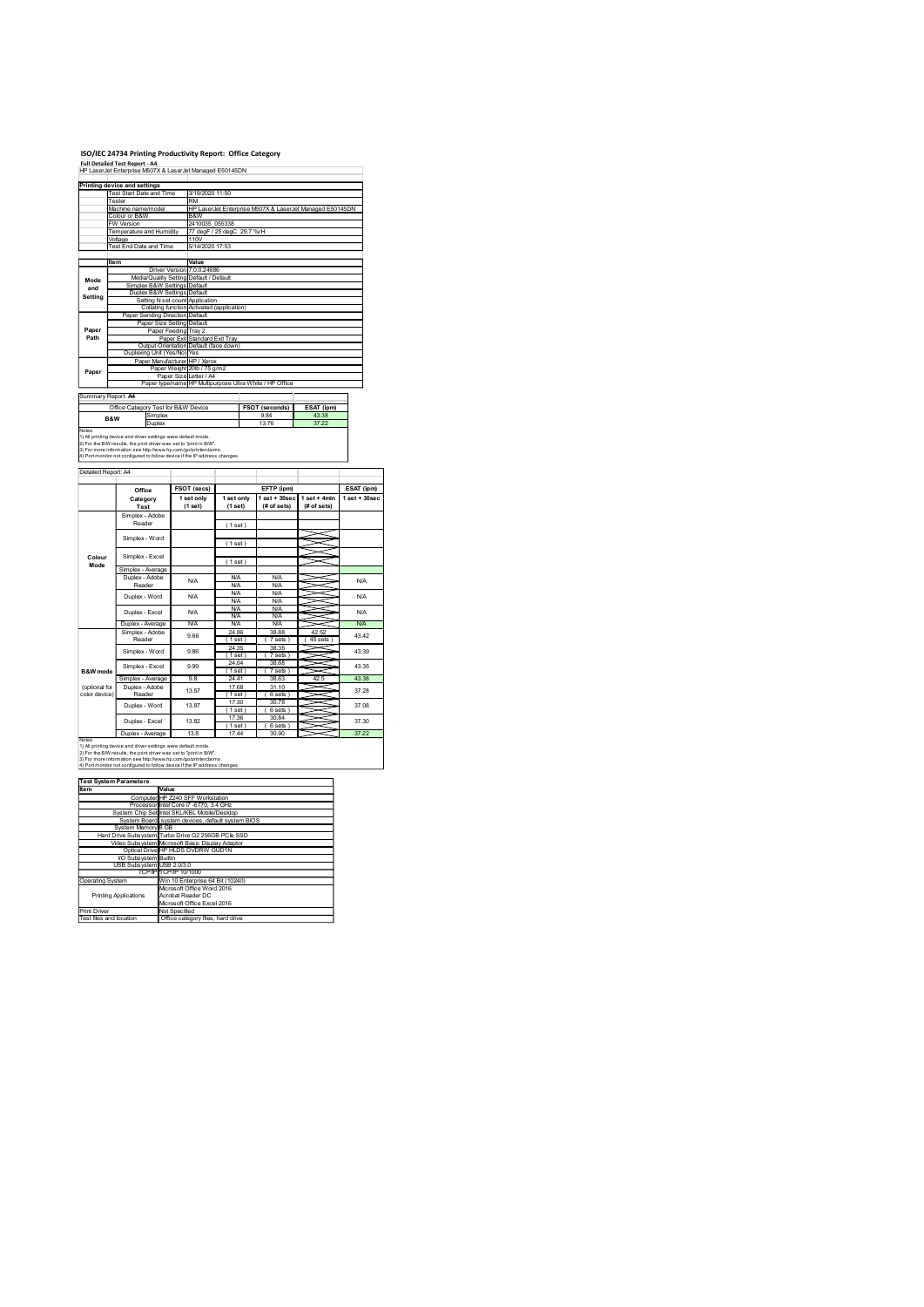### ISO/IEC 24734 Printing Productivity Report: Office Category Full Detailed Test Report - A4

|                             | ISO/IEC 24734 Printing Productivity Report: Office Category<br><b>Full Detailed Test Report - A4</b>                                                                                                                                                                                  |                      |                                                                               |                                                         |                                                               |                              |                         |
|-----------------------------|---------------------------------------------------------------------------------------------------------------------------------------------------------------------------------------------------------------------------------------------------------------------------------------|----------------------|-------------------------------------------------------------------------------|---------------------------------------------------------|---------------------------------------------------------------|------------------------------|-------------------------|
|                             | HP LaserJet Enterprise M507X & LaserJet Managed E50145DN<br>Printing device and settings<br><b>Test Start Date and Time</b>                                                                                                                                                           |                      | 3/19/2020 11:50                                                               |                                                         |                                                               |                              |                         |
|                             | Tester<br>Machine name/model<br>Colour or B&W<br>W Version                                                                                                                                                                                                                            |                      | <b>RM</b><br>B&W<br>2410035 055338                                            |                                                         | HP LaserJet Enterprise M507X & LaserJet Managed E50145DN      |                              |                         |
|                             | Temperature and Humidity<br>Voltage<br>Fest End Date and Time                                                                                                                                                                                                                         |                      | 110V<br>5/14/2020 17:53                                                       | 77 degF / 25 degC 29.7 %rH                              |                                                               |                              |                         |
| Mode                        | Item<br>Media/Quality Setting Default / Default                                                                                                                                                                                                                                       |                      | Value<br>Driver Version 7.0.0.24686                                           |                                                         |                                                               |                              |                         |
| and<br>Setting              | Simplex B&W Settings Default<br>Duplex B&W Settings Default                                                                                                                                                                                                                           |                      | Setting N set count Application                                               | Collating function Activated (application)              |                                                               |                              |                         |
| Paper<br>Path               | Paper Sending Direction Default<br>Paper Size Setting Default                                                                                                                                                                                                                         | Paper Feeding Tray 2 | Paper Exit Standard Exit Tray                                                 |                                                         |                                                               |                              |                         |
|                             | Duplexing Unit (Yes/No) Yes<br>Paper Manufacturer HP / Xerox                                                                                                                                                                                                                          |                      | Output Orientation Default (face down)<br>Paper Weight 20lb / 75 g/m2         |                                                         |                                                               |                              |                         |
| Paper<br>Summary Report: A4 |                                                                                                                                                                                                                                                                                       |                      | Paper Size Letter / A4                                                        | Paper type/name HP Multipurpose Ultra White / HP Office |                                                               |                              |                         |
|                             | Office Category Test for B&W Device<br>Simplex<br>B&W<br>Duplex                                                                                                                                                                                                                       |                      |                                                                               |                                                         | FSOT (seconds)<br>9.84<br>13.76                               | ESAT (ipm)<br>43.38<br>37.22 |                         |
| Notes                       | 1) All printing device and driver settings were default mode<br>2) For the B/W results, the print driver was set to "print in B/W".<br>3) For more information see http://www.hp.com/go/printerclaims.<br>4) Port monitor not configured to follow device if the IP address changes   |                      |                                                                               |                                                         |                                                               |                              |                         |
| Detailed Report: A4         |                                                                                                                                                                                                                                                                                       |                      |                                                                               |                                                         |                                                               |                              |                         |
|                             | Office<br>Category<br>Test<br>Simplex - Adobe                                                                                                                                                                                                                                         |                      | FSOT (secs)<br>1 set only<br>(1 set)                                          | 1 set only<br>(1 set)                                   | EFTP (ipm)<br>$1 set + 30 sec$ $1 set + 4 min$<br>(# of sets) | (# of sets)                  | $1$ set + 30sec         |
|                             | Reader<br>Simplex - Word                                                                                                                                                                                                                                                              |                      |                                                                               | (1 set)<br>(1 set)                                      |                                                               |                              |                         |
| Colour<br>Mode              | Simplex - Excel<br>Simplex - Average                                                                                                                                                                                                                                                  |                      |                                                                               | (1 set)                                                 |                                                               |                              |                         |
|                             | Duplex - Adobe<br>Reader<br>Duplex - Word                                                                                                                                                                                                                                             |                      | <b>N/A</b><br><b>N/A</b>                                                      | <b>N/A</b><br><b>N/A</b><br><b>N/A</b><br><b>N/A</b>    | <b>N/A</b><br><b>N/A</b><br>N/A<br><b>N/A</b>                 |                              |                         |
|                             | Duplex - Excel<br>Duplex - Average                                                                                                                                                                                                                                                    |                      | <b>N/A</b><br><b>N/A</b>                                                      | <b>N/A</b><br><b>N/A</b><br><b>N/A</b>                  | N/A<br>N/A<br>N/A                                             | ≂                            |                         |
|                             | Simplex - Adobe<br>Reader<br>Simplex - Word                                                                                                                                                                                                                                           |                      | 9.66<br>9.86                                                                  | 24.86<br>(1 set)<br>24.35<br>(1 set)                    | 38.88<br>(7 sets)<br>38.35<br>(7 sets)                        | 42.52<br>45 sets             | 43.42<br>43.39          |
| B&W mode<br>(optional for   | Simplex - Excel<br>Simplex - Average<br>Duplex - Adobe                                                                                                                                                                                                                                |                      | 9.99<br>9.8                                                                   | 24.04<br>(1 set)<br>24.41<br>17.68                      | 38.68<br>(7 sets)<br>38.63<br>31.10                           | X<br>42.5                    | 43.35<br>43.38<br>37.28 |
| color device)               | Reader<br>Duplex - Word                                                                                                                                                                                                                                                               |                      | 13.57<br>13.87                                                                | (1 set)<br>17.30<br>(1 set)                             | (6 sets)<br>30.78<br>(6 sets)                                 |                              |                         |
| Notes                       | Duplex - Excel<br>Duplex - Average                                                                                                                                                                                                                                                    |                      | 13.82<br>13.8                                                                 | 17.36<br>(1 set)<br>17.44                               | 30.84<br>(6 sets)<br>30.90                                    |                              |                         |
|                             | 1) All printing device and driver settings were default mode.<br>2) For the B/W results, the print driver was set to "print in B/W".<br>3) For more information see http://www.hp.com/go/printerclaims.<br>4) Port monitor not configured to follow device if the IP address changes. |                      |                                                                               |                                                         |                                                               |                              |                         |
| Item                        | <b>Test System Parameters</b><br>Computer HP Z240 SFF Workstation                                                                                                                                                                                                                     | Value                |                                                                               |                                                         |                                                               |                              |                         |
|                             | Processor Intel Core i7 -6770, 3.4 GHz<br>System Chip Set Intel SKL/KBL Mobile/Desktop<br>System Board system devices, default system BIOS                                                                                                                                            |                      |                                                                               |                                                         |                                                               |                              |                         |
|                             | System Memory 8 GB<br>Hard Drive Subsystem Turbo Drive G2 256GB PCIe SSD<br>Video Subsystem Microsoft Basic Display Adaptor<br>Optical Drive HP HLDS DVDRW GUD1N                                                                                                                      |                      |                                                                               |                                                         |                                                               |                              |                         |
| <b>Operating System</b>     | VO Subsystem Builtin<br>USB Subsystem USB 2.0/3.0<br>TCP/IP TCP/IP 10/1000                                                                                                                                                                                                            |                      |                                                                               | Win 10 Enterprise 64 Bit (10240)                        |                                                               |                              |                         |
| Print Driver                | <b>Printing Applications</b>                                                                                                                                                                                                                                                          |                      | Microsoft Office Word 2016<br>Acrobat Reader DC<br>Mcrosoft Office Excel 2016 |                                                         |                                                               |                              |                         |
| Test files and location     |                                                                                                                                                                                                                                                                                       | Not Specified        |                                                                               | Office category files, hard drive                       |                                                               |                              |                         |

 $\begin{array}{r|rrrrrr}\n\text{Dupler} & \text{4oobe} & & & & & & \\
\hline\n\text{Redder} & & & & & & & \\
\hline\n\text{Redder} & & & & & & & \\
\hline\n\text{Dupler} & & & & & & & \\
\hline\n\text{Dupler} & & & & & & & \\
\hline\n\end{array}\n\quad\n\begin{array}{r|rrrr}\n\text{4o} & & & & & & & \\
\hline\n\text{4o} & & & & & & & \\
\hline\n\text{4o} & & & & & & & \\
\hline\n\text{4o} & & & & & & & \\
\hline\n\text{4o} & & & & & & & \\
\h$ 37.30 13.87 13.57 N/A 43.42 43.39 43.35 37.28 N/A **BXW mode \begin{array}{|l|l|l|}\hline \text{Simplify:} & \text{Average} & 9.8 & 24.41 & 78.63 & \text{42.5} \\\hline \text{Coplinear} & \text{Duplex} & \text{Mode} & 77.69 & 31.10 & 77.80 \\\hline \text{Cobd} & \text{Reader} & 13.57 & 77.90 & 30.78 \\\hline \text{Duplex-Word} & 13.87 & 77.30 & 30.84 \\\hline \text{Duplex-Even} & 13.82 & 77.96 & 30.84 \\\** Machine Machine Machine (1981)<br>
(optional for Duplex Adobe 13.57 17.68 31.11<br>
color device) Reader 13.57 (1981) (6 set Video Subsystem Microsoft Basic Display Adaptor Adaptor Display Adaptor Adaptor Display Adaptor Adaptor Display Adaptor Display Adaptor Adaptor Display Adaptor Display Adaptor Display Adaptor Display Adaptor Display Adapt I/O Subsystem Builtin USB Subsystem USB 2.0/3.0 TCP/IP TCP/IP 10/1000 Operating System Win 10 Enterprise 64 Bit (10240) Printing Applications Microsoft Office Word 2016 Acrobat Reader DC Microsoft Office Excel 2016 Print Driver Not Specified Test files and location Office category files, hard drive Test System Parameters

|                                             | Computer HP Z240 SFF Workstation                   |
|---------------------------------------------|----------------------------------------------------|
|                                             | Processor Intel Core i7 -6770, 3.4 GHz             |
|                                             | System Chip Set Intel SKL/KBL Mobile/Desktop       |
|                                             | System Board system devices, default system BIOS   |
| System Memory 8 GB                          |                                                    |
|                                             | Hard Drive Subsystem Turbo Drive G2 256GB PCIe SSD |
|                                             | Video Subsystem Microsoft Basic Display Adaptor    |
|                                             | Optical Drive HP HLDS DVDRW GUD1N                  |
| VO Subsystem Builtin                        |                                                    |
| USB Subsystem USB 2.0/3.0                   |                                                    |
|                                             | <b>TCP/IP TCP/IP 10/1000</b>                       |
| Operating System                            | Win 10 Enterprise 64 Bit (10240)                   |
|                                             | Microsoft Office Word 2016                         |
| <b>Printing Applications</b>                | Acrobat Reader DC                                  |
|                                             | Microsoft Office Excel 2016                        |
| Print Driver                                | Not Specified                                      |
| <b>The conditions are of the conditions</b> |                                                    |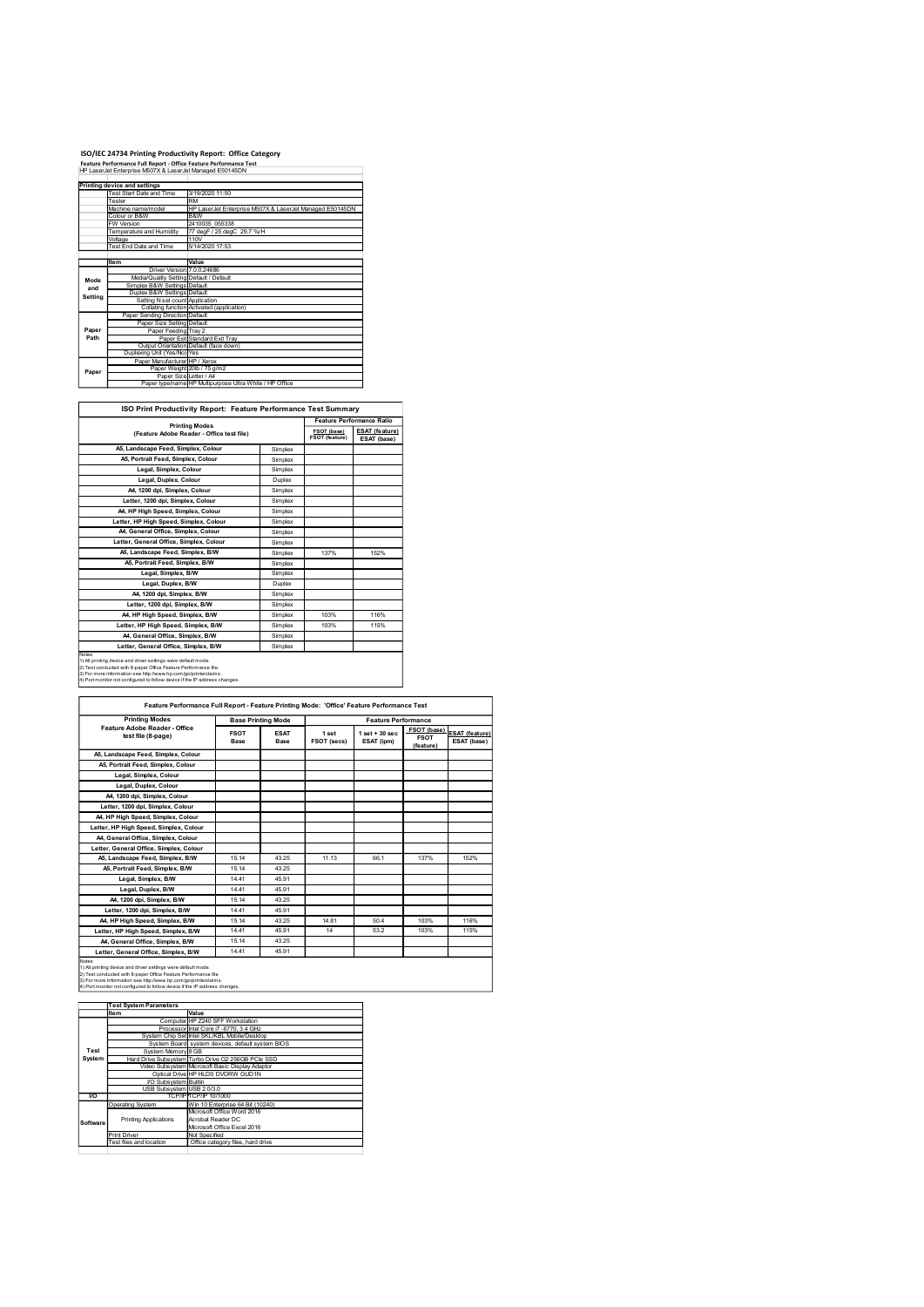# ISO/IEC 24734 Printing Productivity Report: Office Category<br>Feature Performance Full Report - Office Feature Performance Test<br>I+P LaserJet Enterprise M507X & LaserJet Managed E50145DN

|                | ISO/IEC 24734 Printing Productivity Report: Office Category                                                                   |                                                                 |                    |                               |                                                    |
|----------------|-------------------------------------------------------------------------------------------------------------------------------|-----------------------------------------------------------------|--------------------|-------------------------------|----------------------------------------------------|
|                | Feature Performance Full Report - Office Feature Performance Test<br>HP LaserJet Enterprise M507X & LaserJet Managed E50145DN |                                                                 |                    |                               |                                                    |
|                | Printing device and settings                                                                                                  |                                                                 |                    |                               |                                                    |
|                | <b>Test Start Date and Time</b>                                                                                               | 3/19/2020 11:50                                                 |                    |                               |                                                    |
|                | <b>Fester</b><br>Machine name/model                                                                                           | <b>RM</b>                                                       |                    |                               |                                                    |
|                | HP LaserJet Enterprise M507X & LaserJet Managed E50145DN<br>Colour or B&W<br>B&W                                              |                                                                 |                    |                               |                                                    |
|                |                                                                                                                               |                                                                 |                    |                               |                                                    |
|                | W Version<br>Femperature and Humidity                                                                                         | 2410035_055338<br>77 degF / 25 degC 29.7 %rH                    |                    |                               |                                                    |
|                | /oltage<br>Fest End Date and Time                                                                                             | 110V<br>5/14/2020 17:53                                         |                    |                               |                                                    |
|                |                                                                                                                               |                                                                 |                    |                               |                                                    |
|                | ltem<br>Driver Version 7.0.0.24686                                                                                            | Value                                                           |                    |                               |                                                    |
| Mode           | Media/Quality Setting Default / Default<br>Simplex B&W Settings Default                                                       |                                                                 |                    |                               |                                                    |
| and<br>Setting | Duplex B&W Settings Default                                                                                                   |                                                                 |                    |                               |                                                    |
|                | Setting N set count Application                                                                                               | Collating function Activated (application)                      |                    |                               |                                                    |
|                | Paper Sending Direction Default<br>Paper Size Setting Default                                                                 |                                                                 |                    |                               |                                                    |
| Paper<br>Path  | Paper Feeding Tray 2                                                                                                          | Paper Exit Standard Exit Tray                                   |                    |                               |                                                    |
|                |                                                                                                                               | Output Orientation Default (face down)                          |                    |                               |                                                    |
|                | Duplexing Unit (Yes/No) Yes<br>Paper Manufacturer HP / Xerox                                                                  |                                                                 |                    |                               |                                                    |
| Paper          | Paper Size Letter / A4                                                                                                        | Paper Weight 20lb / 75 g/m2                                     |                    |                               |                                                    |
|                |                                                                                                                               | Paper type/name HP Multipurpose Ultra White / HP Office         |                    |                               |                                                    |
|                |                                                                                                                               |                                                                 |                    |                               |                                                    |
|                |                                                                                                                               | ISO Print Productivity Report: Feature Performance Test Summary |                    |                               |                                                    |
|                |                                                                                                                               | <b>Printing Modes</b>                                           |                    |                               | Feature Performance Ratio<br><b>ESAT</b> (feature) |
|                |                                                                                                                               | (Feature Adobe Reader - Office test file)                       |                    | FSOT (base)<br>FSOT (feature) | ESAT (base)                                        |
|                | A5, Landscape Feed, Simplex, Colour                                                                                           |                                                                 | Simplex            |                               |                                                    |
|                | A5, Portrait Feed, Simplex, Colour<br>Legal, Simplex, Colour                                                                  |                                                                 | Simplex<br>Simplex |                               |                                                    |

|              | ISO/IEC 24734 Printing Productivity Report: Office Category                                                                        |                                                                                            |                    |                               |                                      |
|--------------|------------------------------------------------------------------------------------------------------------------------------------|--------------------------------------------------------------------------------------------|--------------------|-------------------------------|--------------------------------------|
|              | Feature Performance Full Report - Office Feature Performance Test<br>HP LaserJet Enterprise M507X & LaserJet Managed E50145DN      |                                                                                            |                    |                               |                                      |
|              |                                                                                                                                    |                                                                                            |                    |                               |                                      |
|              | Printing device and settings<br>Test Start Date and Time                                                                           | 3/19/2020 11:50                                                                            |                    |                               |                                      |
|              | <b>Fester</b>                                                                                                                      | RM                                                                                         |                    |                               |                                      |
|              | Machine name/model                                                                                                                 | HP LaserJet Enterprise M507X & LaserJet Managed E50145DN                                   |                    |                               |                                      |
|              | olour or B&W<br>W Version                                                                                                          | B&W<br>2410035 055338                                                                      |                    |                               |                                      |
|              | Temperature and Humidity                                                                                                           | 77 degF / 25 degC 29.7 %rH                                                                 |                    |                               |                                      |
|              | Voltage<br>Test End Date and Time                                                                                                  | 110V<br>5/14/2020 17:53                                                                    |                    |                               |                                      |
|              |                                                                                                                                    |                                                                                            |                    |                               |                                      |
|              | Item                                                                                                                               | Value<br>Driver Version 7.0.0.24686                                                        |                    |                               |                                      |
|              | Media/Quality Setting Default / Default                                                                                            |                                                                                            |                    |                               |                                      |
| Mode<br>and  | Simplex B&W Settings Default                                                                                                       |                                                                                            |                    |                               |                                      |
| Setting      | Duplex B&W Settings Default                                                                                                        |                                                                                            |                    |                               |                                      |
|              | Setting N set count Application                                                                                                    | Collating function Activated (application)                                                 |                    |                               |                                      |
|              | Paper Sending Direction Default                                                                                                    |                                                                                            |                    |                               |                                      |
| Paper        | Paper Size Setting<br>Paper Feeding Tray 2                                                                                         | Default                                                                                    |                    |                               |                                      |
| Path         |                                                                                                                                    | Paper Exit Standard Exit Tray                                                              |                    |                               |                                      |
|              | Output Orientation Default (face down)<br>Duplexing Unit (Yes/No) Yes                                                              |                                                                                            |                    |                               |                                      |
|              | Paper Manufacturer HP / Xerox                                                                                                      |                                                                                            |                    |                               |                                      |
| Paper        | Paper Weight 20lb / 75 g/m2                                                                                                        |                                                                                            |                    |                               |                                      |
|              | Paper Size Letter / A4                                                                                                             | Paper type/name HP Multipurpose Ultra White / HP Office                                    |                    |                               |                                      |
|              |                                                                                                                                    |                                                                                            |                    |                               |                                      |
|              | ISO Print Productivity Report: Feature Performance Test Summary                                                                    |                                                                                            |                    |                               |                                      |
|              |                                                                                                                                    |                                                                                            |                    |                               |                                      |
|              | <b>Printing Modes</b>                                                                                                              |                                                                                            |                    |                               | Feature Performance Ratio            |
|              | (Feature Adobe Reader - Office test file)                                                                                          |                                                                                            |                    | FSOT (base)<br>FSOT (feature) | <b>ESAT</b> (feature)<br>ESAT (base) |
|              | A5, Landscape Feed, Simplex, Colour                                                                                                |                                                                                            | Simplex            |                               |                                      |
|              | A5, Portrait Feed, Simplex, Colour                                                                                                 |                                                                                            |                    |                               |                                      |
|              |                                                                                                                                    |                                                                                            | Simplex            |                               |                                      |
|              | Legal, Simplex, Colour                                                                                                             |                                                                                            | Simplex            |                               |                                      |
|              | Legal, Duplex, Colour                                                                                                              |                                                                                            | Duplex             |                               |                                      |
|              |                                                                                                                                    |                                                                                            |                    |                               |                                      |
|              | A4, 1200 dpi, Simplex, Colour<br>Letter, 1200 dpi, Simplex, Colour                                                                 |                                                                                            | Simplex<br>Simplex |                               |                                      |
|              | A4, HP High Speed, Simplex, Colour                                                                                                 |                                                                                            |                    |                               |                                      |
|              | Letter, HP High Speed, Simplex, Colour                                                                                             |                                                                                            | Simplex<br>Simplex |                               |                                      |
|              | A4, General Office, Simplex, Colour                                                                                                |                                                                                            | Simplex            |                               |                                      |
|              | Letter, General Office, Simplex, Colour                                                                                            |                                                                                            | Simplex            |                               |                                      |
|              | A5, Landscape Feed, Simplex, B/W                                                                                                   |                                                                                            | Simplex            | 137%                          | 152%                                 |
|              | A5, Portrait Feed, Simplex, B/W                                                                                                    |                                                                                            | Simplex            |                               |                                      |
|              | Legal, Simplex, B/W                                                                                                                |                                                                                            | Simplex            |                               |                                      |
|              | Legal, Duplex, B/W                                                                                                                 |                                                                                            | Duplex             |                               |                                      |
|              | A4, 1200 dpi, Simplex, B/W                                                                                                         |                                                                                            | Simplex            |                               |                                      |
|              | Letter, 1200 dpi, Simplex, B/W                                                                                                     |                                                                                            | Simplex            |                               |                                      |
|              | A4, HP High Speed, Simplex, B/W                                                                                                    |                                                                                            | Simplex            | 103%                          | 116%                                 |
|              | Letter, HP High Speed, Simplex, B/W                                                                                                |                                                                                            | Simplex            | 103%                          | 115%                                 |
|              | A4, General Office, Simplex, B/W                                                                                                   |                                                                                            | Simplex            |                               |                                      |
|              | Letter, General Office, Simplex, B/W                                                                                               |                                                                                            | Simplex            |                               |                                      |
| <b>Notes</b> | 1) All printing device and driver settings were default mode.                                                                      |                                                                                            |                    |                               |                                      |
|              | 2) Test conducted with 8-paper Office Feature Performance file.<br>3) For more information see http://www.hp.com/go/printerclaims. |                                                                                            |                    |                               |                                      |
|              | 4) Port monitor not configured to follow device if the IP address changes                                                          |                                                                                            |                    |                               |                                      |
|              |                                                                                                                                    |                                                                                            |                    |                               |                                      |
|              |                                                                                                                                    | Feature Performance Full Report - Feature Printing Mode: 'Office' Feature Performance Test |                    |                               |                                      |

 $\mathsf{r}$ 

|                  | A5, Portrait Feed, Simplex, Colour<br>Legal, Simplex, Colour<br>Legal, Duplex, Colour<br>A4, 1200 dpi, Simplex, Colour<br>Letter, 1200 dpi, Simplex, Colour<br>A4, HP High Speed, Simplex, Colour<br>Letter, HP High Speed, Simplex, Colour<br>A4, General Office, Simplex, Colour  |                          |                                                                            | Simplex<br>Simplex<br>Duplex<br>Simplex |             |                                                                                            |                            |                       |
|------------------|-------------------------------------------------------------------------------------------------------------------------------------------------------------------------------------------------------------------------------------------------------------------------------------|--------------------------|----------------------------------------------------------------------------|-----------------------------------------|-------------|--------------------------------------------------------------------------------------------|----------------------------|-----------------------|
|                  |                                                                                                                                                                                                                                                                                     |                          |                                                                            |                                         |             |                                                                                            |                            |                       |
|                  |                                                                                                                                                                                                                                                                                     |                          |                                                                            |                                         |             |                                                                                            |                            |                       |
|                  |                                                                                                                                                                                                                                                                                     |                          |                                                                            |                                         |             |                                                                                            |                            |                       |
|                  |                                                                                                                                                                                                                                                                                     |                          |                                                                            |                                         |             |                                                                                            |                            |                       |
|                  |                                                                                                                                                                                                                                                                                     |                          |                                                                            | Simplex                                 |             |                                                                                            |                            |                       |
|                  |                                                                                                                                                                                                                                                                                     |                          |                                                                            | Simplex                                 |             |                                                                                            |                            |                       |
|                  |                                                                                                                                                                                                                                                                                     |                          |                                                                            | Simplex                                 |             |                                                                                            |                            |                       |
|                  |                                                                                                                                                                                                                                                                                     |                          |                                                                            | Simplex                                 |             |                                                                                            |                            |                       |
|                  | Letter, General Office, Simplex, Colour                                                                                                                                                                                                                                             |                          |                                                                            | Simplex                                 |             |                                                                                            |                            |                       |
|                  | A5, Landscape Feed, Simplex, B/W                                                                                                                                                                                                                                                    |                          |                                                                            | Simplex                                 | 137%        | 152%                                                                                       |                            |                       |
|                  |                                                                                                                                                                                                                                                                                     |                          |                                                                            |                                         |             |                                                                                            |                            |                       |
|                  | A5, Portrait Feed, Simplex, B/W                                                                                                                                                                                                                                                     |                          |                                                                            | Simplex                                 |             |                                                                                            |                            |                       |
|                  | Legal, Simplex, B/W                                                                                                                                                                                                                                                                 |                          |                                                                            | Simplex                                 |             |                                                                                            |                            |                       |
|                  | Legal, Duplex, B/W                                                                                                                                                                                                                                                                  |                          |                                                                            | Duplex                                  |             |                                                                                            |                            |                       |
|                  | A4, 1200 dpi, Simplex, B/W                                                                                                                                                                                                                                                          |                          |                                                                            | Simplex                                 |             |                                                                                            |                            |                       |
|                  | Letter, 1200 dpi, Simplex, B/W                                                                                                                                                                                                                                                      |                          |                                                                            | Simplex                                 |             |                                                                                            |                            |                       |
|                  | A4, HP High Speed, Simplex, B/W                                                                                                                                                                                                                                                     |                          |                                                                            | Simplex                                 | 103%        | 116%                                                                                       |                            |                       |
|                  | Letter, HP High Speed, Simplex, B/W                                                                                                                                                                                                                                                 |                          |                                                                            | Simplex                                 | 103%        | 115%                                                                                       |                            |                       |
|                  | A4, General Office, Simplex, B/W                                                                                                                                                                                                                                                    |                          |                                                                            | Simplex                                 |             |                                                                                            |                            |                       |
|                  | Letter, General Office, Simplex, B/W                                                                                                                                                                                                                                                |                          |                                                                            | Simplex                                 |             |                                                                                            |                            |                       |
|                  | 1) All printing device and driver settings were default mode.<br>2) Test conducted with 8-paper Office Feature Performance file.<br>3) For more information see http://www.hp.com/go/printerclaims<br>4) Port monitor not configured to follow device if the IP address changes.    |                          |                                                                            |                                         |             | Feature Performance Full Report - Feature Printing Mode: 'Office' Feature Performance Test |                            |                       |
|                  |                                                                                                                                                                                                                                                                                     |                          |                                                                            |                                         |             |                                                                                            |                            |                       |
|                  | <b>Printing Modes</b>                                                                                                                                                                                                                                                               |                          |                                                                            | <b>Base Printing Mode</b>               |             | <b>Feature Performance</b>                                                                 |                            |                       |
|                  | Feature Adobe Reader - Office<br>test file (8-page)                                                                                                                                                                                                                                 |                          | <b>FSOT</b>                                                                | <b>ESAT</b>                             | 1 set       | $1$ set + 30 sec                                                                           | FSOT (base)<br><b>FSOT</b> | <b>ESAT (feature)</b> |
|                  |                                                                                                                                                                                                                                                                                     |                          | Base                                                                       | Base                                    | FSOT (secs) | ESAT (ipm)                                                                                 | (feature)                  | ESAT (base)           |
|                  | A5, Landscape Feed, Simplex, Colour                                                                                                                                                                                                                                                 |                          |                                                                            |                                         |             |                                                                                            |                            |                       |
|                  | A5, Portrait Feed, Simplex, Colour                                                                                                                                                                                                                                                  |                          |                                                                            |                                         |             |                                                                                            |                            |                       |
|                  | Legal, Simplex, Colour                                                                                                                                                                                                                                                              |                          |                                                                            |                                         |             |                                                                                            |                            |                       |
|                  | Legal, Duplex, Colour                                                                                                                                                                                                                                                               |                          |                                                                            |                                         |             |                                                                                            |                            |                       |
|                  |                                                                                                                                                                                                                                                                                     |                          |                                                                            |                                         |             |                                                                                            |                            |                       |
|                  | A4, 1200 dpi, Simplex, Colour                                                                                                                                                                                                                                                       |                          |                                                                            |                                         |             |                                                                                            |                            |                       |
|                  | Letter, 1200 dpi, Simplex, Colour                                                                                                                                                                                                                                                   |                          |                                                                            |                                         |             |                                                                                            |                            |                       |
|                  | A4, HP High Speed, Simplex, Colour                                                                                                                                                                                                                                                  |                          |                                                                            |                                         |             |                                                                                            |                            |                       |
|                  | Letter, HP High Speed, Simplex, Colour                                                                                                                                                                                                                                              |                          |                                                                            |                                         |             |                                                                                            |                            |                       |
|                  | A4, General Office, Simplex, Colour                                                                                                                                                                                                                                                 |                          |                                                                            |                                         |             |                                                                                            |                            |                       |
|                  |                                                                                                                                                                                                                                                                                     |                          |                                                                            |                                         |             |                                                                                            |                            |                       |
|                  | Letter, General Office, Simplex, Colour                                                                                                                                                                                                                                             |                          |                                                                            |                                         |             |                                                                                            |                            |                       |
|                  | A5, Landscape Feed, Simplex, B/W                                                                                                                                                                                                                                                    |                          | 15.14                                                                      | 43.25                                   | 11.13       | 66.1                                                                                       | 137%                       | 152%                  |
|                  | A5, Portrait Feed, Simplex, B/W                                                                                                                                                                                                                                                     |                          | 15.14                                                                      | 43.25                                   |             |                                                                                            |                            |                       |
|                  | Legal, Simplex, B/W                                                                                                                                                                                                                                                                 |                          | 14.41                                                                      | 45.91                                   |             |                                                                                            |                            |                       |
|                  | Legal, Duplex, B/W                                                                                                                                                                                                                                                                  |                          | 14.41                                                                      | 45.91                                   |             |                                                                                            |                            |                       |
|                  | A4, 1200 dpi, Simplex, B/W                                                                                                                                                                                                                                                          |                          | 15.14                                                                      | 43.25                                   |             |                                                                                            |                            |                       |
|                  | Letter, 1200 dpi, Simplex, B/W                                                                                                                                                                                                                                                      |                          | 14.41                                                                      | 45.91                                   |             |                                                                                            |                            |                       |
|                  |                                                                                                                                                                                                                                                                                     |                          |                                                                            |                                         |             |                                                                                            |                            |                       |
|                  | A4, HP High Speed, Simplex, B/W                                                                                                                                                                                                                                                     |                          | 15.14                                                                      | 43.25                                   | 14.81       | 50.4                                                                                       | 103%                       | 116%                  |
|                  | Letter, HP High Speed, Simplex, B/W                                                                                                                                                                                                                                                 |                          | 14.41                                                                      | 45.91                                   | 14          | 53.2                                                                                       | 103%                       | 115%                  |
|                  | A4, General Office, Simplex, B/W                                                                                                                                                                                                                                                    |                          | 15.14                                                                      | 43.25                                   |             |                                                                                            |                            |                       |
|                  | Letter, General Office, Simplex, B/W                                                                                                                                                                                                                                                |                          | 14.41                                                                      | 45.91                                   |             |                                                                                            |                            |                       |
|                  | <br>1) All printing device and driver settings were default mode.<br>2) Test conducted with 8-paper Office Feature Performance file<br>3) For more information see http://www.hp.com/go/printerclaims.<br>4) Port monitor not configured to follow device if the IP address changes |                          |                                                                            |                                         |             |                                                                                            |                            |                       |
|                  |                                                                                                                                                                                                                                                                                     |                          |                                                                            |                                         |             |                                                                                            |                            |                       |
|                  | <b>Test System Parameters</b>                                                                                                                                                                                                                                                       |                          |                                                                            |                                         |             |                                                                                            |                            |                       |
|                  | Item                                                                                                                                                                                                                                                                                | Value                    |                                                                            |                                         |             |                                                                                            |                            |                       |
|                  |                                                                                                                                                                                                                                                                                     |                          | Computer HP Z240 SFF Workstation<br>Processor Intel Core i7 -6770, 3.4 GHz |                                         |             |                                                                                            |                            |                       |
|                  | System Chip Set Intel SKL/KBL Mobile/Desktop                                                                                                                                                                                                                                        |                          |                                                                            |                                         |             |                                                                                            |                            |                       |
|                  | System Board system devices, default system BIOS                                                                                                                                                                                                                                    |                          |                                                                            |                                         |             |                                                                                            |                            |                       |
| Test             | System Memory 8 GB                                                                                                                                                                                                                                                                  |                          |                                                                            |                                         |             |                                                                                            |                            |                       |
| System           | Hard Drive Subsystem Turbo Drive G2 256GB PCle SSD                                                                                                                                                                                                                                  |                          |                                                                            |                                         |             |                                                                                            |                            |                       |
|                  | Video Subsystem Microsoft Basic Display Adaptor                                                                                                                                                                                                                                     |                          | Optical Drive HP HLDS DVDRW GUD1N                                          |                                         |             |                                                                                            |                            |                       |
|                  |                                                                                                                                                                                                                                                                                     |                          |                                                                            |                                         |             |                                                                                            |                            |                       |
|                  | VO Subsystem Builtin<br>USB Subsystem USB 2.0/3.0                                                                                                                                                                                                                                   |                          |                                                                            |                                         |             |                                                                                            |                            |                       |
| $\overline{1/O}$ | TCP/IP                                                                                                                                                                                                                                                                              | TCP/IP 10/1000           |                                                                            |                                         |             |                                                                                            |                            |                       |
|                  | <b>Operating System</b>                                                                                                                                                                                                                                                             |                          | Win 10 Enterprise 64 Bit (10240)                                           |                                         |             |                                                                                            |                            |                       |
|                  |                                                                                                                                                                                                                                                                                     |                          | Microsoft Office Word 2016                                                 |                                         |             |                                                                                            |                            |                       |
| Software         | <b>Printing Applications</b>                                                                                                                                                                                                                                                        | <b>Acrobat Reader DC</b> | Microsoft Office Excel 2016                                                |                                         |             |                                                                                            |                            |                       |
|                  | <b>Print Driver</b>                                                                                                                                                                                                                                                                 | <b>Vot Specified</b>     |                                                                            |                                         |             |                                                                                            |                            |                       |
|                  | Fest files and location                                                                                                                                                                                                                                                             |                          | Office category files, hard drive                                          |                                         |             |                                                                                            |                            |                       |
|                  |                                                                                                                                                                                                                                                                                     |                          |                                                                            |                                         |             |                                                                                            |                            |                       |

|          | <b>Test System Parameters</b> |                                                    |  |  |  |
|----------|-------------------------------|----------------------------------------------------|--|--|--|
|          | Item                          | Value                                              |  |  |  |
|          |                               | Computer HP Z240 SFF Workstation                   |  |  |  |
|          |                               | Processor Intel Core i7 -6770, 3.4 GHz             |  |  |  |
|          |                               | System Chip Set Intel SKL/KBL Mobile/Desktop       |  |  |  |
|          |                               | System Board system devices, default system BIOS   |  |  |  |
| Test     | System Memory 8 GB            |                                                    |  |  |  |
| System   |                               | Hard Drive Subsystem Turbo Drive G2 256GB PCle SSD |  |  |  |
|          |                               | Video Subsystem Microsoft Basic Display Adaptor    |  |  |  |
|          |                               | Optical Drive HP HLDS DVDRW GUD1N                  |  |  |  |
|          | VO Subsystem Builtin          |                                                    |  |  |  |
|          | USB Subsystem USB 2.0/3.0     |                                                    |  |  |  |
| I/O      |                               | TCP/IPITCP/IP 10/1000                              |  |  |  |
|          | Operating System              | Win 10 Enterprise 64 Bit (10240)                   |  |  |  |
|          |                               | Microsoft Office Word 2016                         |  |  |  |
| Software | <b>Printing Applications</b>  | Acrobat Reader DC                                  |  |  |  |
|          |                               | Microsoft Office Excel 2016                        |  |  |  |
|          | Print Driver                  | Not Specified                                      |  |  |  |
|          | Test files and location       | Office category files, hard drive                  |  |  |  |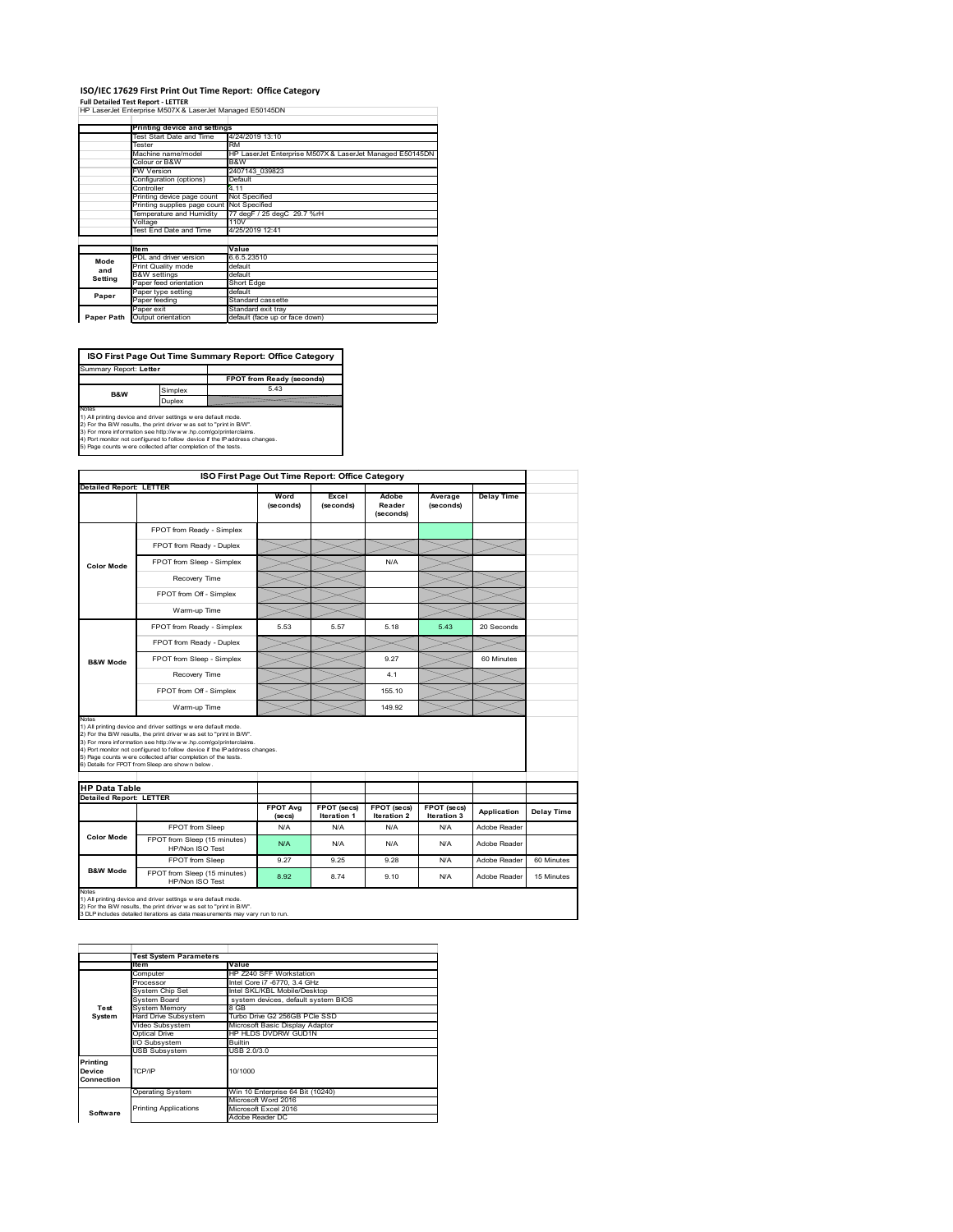### **ISO/IEC 17629 First Print Out Time Report: Office Category**

**Full Detailed Test Report ‐ LETTER** HP LaserJet Enterprise M507X & LaserJet Managed E50145DN

|            | Printing device and settings |                                                          |
|------------|------------------------------|----------------------------------------------------------|
|            | Test Start Date and Time     | 4/24/2019 13:10                                          |
|            | Tester                       | RM                                                       |
|            | Machine name/model           | HP LaserJet Enterprise M507X & LaserJet Managed E50145DN |
|            | Colour or B&W                | B&W                                                      |
|            | <b>FW Version</b>            | 2407143 039823                                           |
|            | Configuration (options)      | Default                                                  |
|            | Controller                   | 4 1 1                                                    |
|            | Printing device page count   | Not Specified                                            |
|            | Printing supplies page count | Not Specified                                            |
|            | Temperature and Humidity     | 77 degF / 25 degC 29.7 %rH                               |
|            | Voltage                      | 110V                                                     |
|            | Test End Date and Time       | 4/25/2019 12:41                                          |
|            |                              |                                                          |
|            | Item                         | Value                                                    |
| Mode       | PDL and driver version       | 6.6.5.23510                                              |
| and        | Print Quality mode           | default                                                  |
| Setting    | <b>B&amp;W</b> settings      | default                                                  |
|            | Paper feed orientation       | Short Edge                                               |
| Paper      | Paper type setting           | default                                                  |
|            | Paper feeding                | Standard cassette                                        |
|            | Paper exit                   | Standard exit trav                                       |
| Paper Path | Output orientation           | default (face up or face down)                           |

**ISO First Page Out Time Summary Report: Office Category**

**FPOT from Ready (seconds)**<br>
Simplex 5.43 **Duplex**<br>Notes<br>1) All printing device and driver settings were default mode.<br>2) For the BM results, the print driver was set to "print in BM".<br>4) For more information see http://www.hp.com/golprinterclaims.<br>4) Port monitor Summary Report: **Letter B&W**

|                                |                                                                                                                                                                                                                                                                                                                                                                                                              | ISO First Page Out Time Report: Office Category |                    |                                   |                            |                   |            |
|--------------------------------|--------------------------------------------------------------------------------------------------------------------------------------------------------------------------------------------------------------------------------------------------------------------------------------------------------------------------------------------------------------------------------------------------------------|-------------------------------------------------|--------------------|-----------------------------------|----------------------------|-------------------|------------|
| <b>Detailed Report: LETTER</b> |                                                                                                                                                                                                                                                                                                                                                                                                              | Word<br>(seconds)                               | Excel<br>(seconds) | Adobe<br>Reader<br>(seconds)      | Average<br>(seconds)       | <b>Delay Time</b> |            |
|                                | FPOT from Ready - Simplex                                                                                                                                                                                                                                                                                                                                                                                    |                                                 |                    |                                   |                            |                   |            |
|                                | FPOT from Ready - Duplex                                                                                                                                                                                                                                                                                                                                                                                     |                                                 |                    |                                   |                            |                   |            |
| <b>Color Mode</b>              | FPOT from Sleep - Simplex                                                                                                                                                                                                                                                                                                                                                                                    |                                                 |                    | N/A                               |                            |                   |            |
|                                | Recovery Time                                                                                                                                                                                                                                                                                                                                                                                                |                                                 |                    |                                   |                            |                   |            |
|                                | FPOT from Off - Simplex                                                                                                                                                                                                                                                                                                                                                                                      |                                                 |                    |                                   |                            |                   |            |
|                                | Warm-up Time                                                                                                                                                                                                                                                                                                                                                                                                 |                                                 |                    |                                   |                            |                   |            |
|                                | FPOT from Ready - Simplex                                                                                                                                                                                                                                                                                                                                                                                    | 5.53                                            | 5.57               | 5.18                              | 5.43                       | 20 Seconds        |            |
|                                | FPOT from Ready - Duplex                                                                                                                                                                                                                                                                                                                                                                                     |                                                 |                    |                                   |                            |                   |            |
| <b>B&amp;W Mode</b>            | FPOT from Sleep - Simplex                                                                                                                                                                                                                                                                                                                                                                                    |                                                 |                    | 9.27                              |                            | 60 Minutes        |            |
|                                | Recovery Time                                                                                                                                                                                                                                                                                                                                                                                                |                                                 |                    | 4.1                               |                            |                   |            |
|                                |                                                                                                                                                                                                                                                                                                                                                                                                              |                                                 |                    |                                   |                            |                   |            |
|                                | FPOT from Off - Simplex                                                                                                                                                                                                                                                                                                                                                                                      |                                                 |                    | 155.10                            |                            |                   |            |
|                                | Warm-up Time                                                                                                                                                                                                                                                                                                                                                                                                 |                                                 |                    | 149.92                            |                            |                   |            |
| Notes<br><b>HP Data Table</b>  | 1) All printing device and driver settings w ere default mode.<br>2) For the B/W results, the print driver w as set to "print in B/W".<br>3) For more information see http://www.hp.com/go/printerclaims.<br>4) Port monitor not configured to follow device if the IP address changes.<br>5) Page counts w ere collected after completion of the tests.<br>6) Details for FPOT from Sleep are show n below. |                                                 |                    |                                   |                            |                   |            |
| <b>Detailed Report: LETTER</b> |                                                                                                                                                                                                                                                                                                                                                                                                              | <b>FPOT Avg</b>                                 | FPOT (secs)        |                                   |                            |                   |            |
|                                |                                                                                                                                                                                                                                                                                                                                                                                                              | (se cs)                                         | <b>Iteration 1</b> | FPOT (secs)<br><b>Iteration 2</b> | FPOT (secs)<br>Iteration 3 | Application       | Delay Time |
|                                | FPOT from Sleep                                                                                                                                                                                                                                                                                                                                                                                              | N/A                                             | N/A                | N/A                               | N/A                        | Adobe Reader      |            |
| <b>Color Mode</b>              | FPOT from Sleep (15 minutes)<br>HP/Non ISO Test                                                                                                                                                                                                                                                                                                                                                              | N/A                                             | N/A                | N/A                               | N/A                        | Adobe Reader      |            |
| <b>B&amp;W Mode</b>            | FPOT from Sleep                                                                                                                                                                                                                                                                                                                                                                                              | 9.27                                            | 9.25               | 9.28                              | N/A                        | Adobe Reader      | 60 Minutes |

1) All printing device and driver settings w ere default mode.<br>2) For the B/W results, the print driver w as set to "print in B/W".<br>3 DLP includes detailed iterations as data measurements may vary run to run.

|                                  | <b>Test System Parameters</b> |                                     |  |  |  |  |
|----------------------------------|-------------------------------|-------------------------------------|--|--|--|--|
|                                  | <b>Item</b>                   | Value                               |  |  |  |  |
|                                  | Computer                      | HP Z240 SFF Workstation             |  |  |  |  |
|                                  | Processor                     | Intel Core i7 -6770, 3.4 GHz        |  |  |  |  |
|                                  | System Chip Set               | Intel SKL/KBL Mobile/Desktop        |  |  |  |  |
|                                  | System Board                  | system devices, default system BIOS |  |  |  |  |
| Test                             | <b>System Memory</b>          | 8 GB                                |  |  |  |  |
| System                           | <b>Hard Drive Subsystem</b>   | Turbo Drive G2 256GB PCle SSD       |  |  |  |  |
|                                  | Video Subsystem               | Microsoft Basic Display Adaptor     |  |  |  |  |
|                                  | <b>Optical Drive</b>          | HP HLDS DVDRW GUD1N                 |  |  |  |  |
|                                  | I/O Subsystem                 | <b>Builtin</b>                      |  |  |  |  |
|                                  | <b>USB Subsystem</b>          | USB 2.0/3.0                         |  |  |  |  |
| Printing<br>Device<br>Connection | TCP/IP                        | 10/1000                             |  |  |  |  |
|                                  | <b>Operating System</b>       | Win 10 Enterprise 64 Bit (10240)    |  |  |  |  |
|                                  |                               | Microsoft Word 2016                 |  |  |  |  |
| Software                         | <b>Printing Applications</b>  | Microsoft Excel 2016                |  |  |  |  |
|                                  |                               | Adobe Reader DC                     |  |  |  |  |